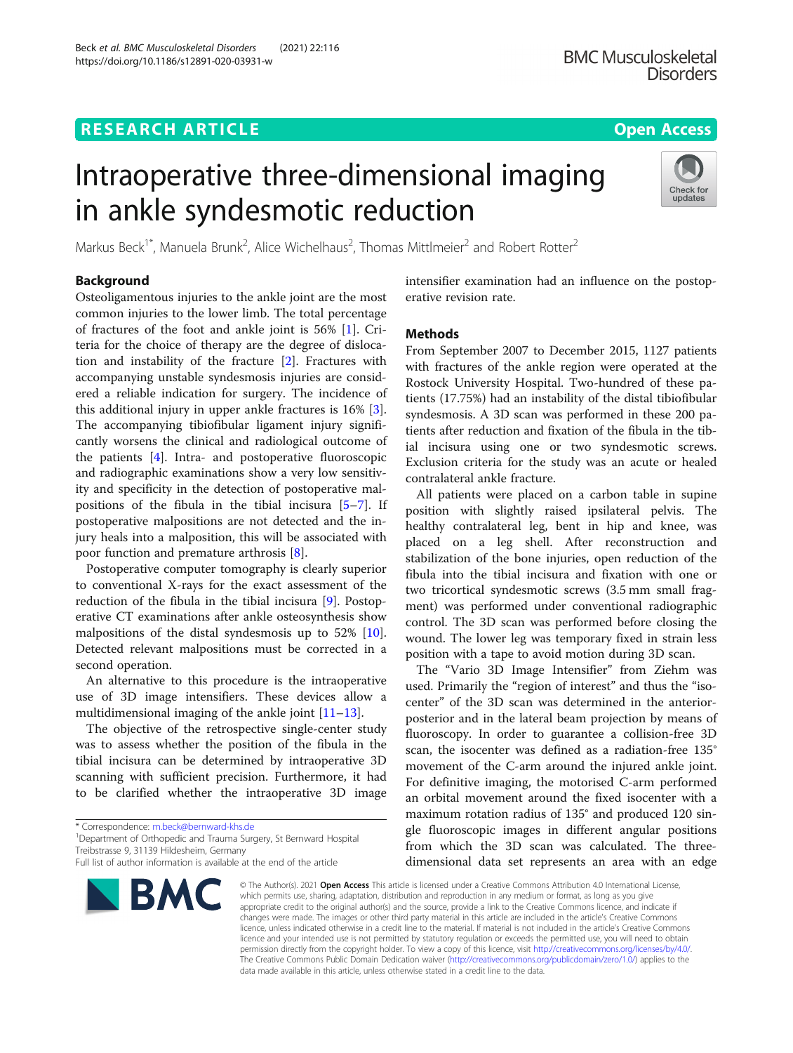https://doi.org/10.1186/s12891-020-03931-w

Beck et al. BMC Musculoskeletal Disorders (2021) 22:116

# Intraoperative three-dimensional imaging in ankle syndesmotic reduction



Markus Beck<sup>1\*</sup>, Manuela Brunk<sup>2</sup>, Alice Wichelhaus<sup>2</sup>, Thomas Mittlmeier<sup>2</sup> and Robert Rotter<sup>2</sup>

# Background

Osteoligamentous injuries to the ankle joint are the most common injuries to the lower limb. The total percentage of fractures of the foot and ankle joint is 56% [[1\]](#page-4-0). Criteria for the choice of therapy are the degree of dislocation and instability of the fracture [\[2](#page-4-0)]. Fractures with accompanying unstable syndesmosis injuries are considered a reliable indication for surgery. The incidence of this additional injury in upper ankle fractures is 16% [\[3](#page-4-0)]. The accompanying tibiofibular ligament injury significantly worsens the clinical and radiological outcome of the patients [[4](#page-4-0)]. Intra- and postoperative fluoroscopic and radiographic examinations show a very low sensitivity and specificity in the detection of postoperative malpositions of the fibula in the tibial incisura [[5](#page-4-0)–[7\]](#page-4-0). If postoperative malpositions are not detected and the injury heals into a malposition, this will be associated with poor function and premature arthrosis [[8\]](#page-4-0).

Postoperative computer tomography is clearly superior to conventional X-rays for the exact assessment of the reduction of the fibula in the tibial incisura [\[9](#page-4-0)]. Postoperative CT examinations after ankle osteosynthesis show malpositions of the distal syndesmosis up to 52% [\[10](#page-4-0)]. Detected relevant malpositions must be corrected in a second operation.

An alternative to this procedure is the intraoperative use of 3D image intensifiers. These devices allow a multidimensional imaging of the ankle joint [[11](#page-4-0)–[13](#page-4-0)].

The objective of the retrospective single-center study was to assess whether the position of the fibula in the tibial incisura can be determined by intraoperative 3D scanning with sufficient precision. Furthermore, it had to be clarified whether the intraoperative 3D image

\* Correspondence: [m.beck@bernward-khs.de](mailto:m.beck@bernward-khs.de) <sup>1</sup>

<sup>1</sup>Department of Orthopedic and Trauma Surgery, St Bernward Hospital Treibstrasse 9, 31139 Hildesheim, Germany

Full list of author information is available at the end of the article



intensifier examination had an influence on the postoperative revision rate.

# **Methods**

From September 2007 to December 2015, 1127 patients with fractures of the ankle region were operated at the Rostock University Hospital. Two-hundred of these patients (17.75%) had an instability of the distal tibiofibular syndesmosis. A 3D scan was performed in these 200 patients after reduction and fixation of the fibula in the tibial incisura using one or two syndesmotic screws. Exclusion criteria for the study was an acute or healed contralateral ankle fracture.

All patients were placed on a carbon table in supine position with slightly raised ipsilateral pelvis. The healthy contralateral leg, bent in hip and knee, was placed on a leg shell. After reconstruction and stabilization of the bone injuries, open reduction of the fibula into the tibial incisura and fixation with one or two tricortical syndesmotic screws (3.5 mm small fragment) was performed under conventional radiographic control. The 3D scan was performed before closing the wound. The lower leg was temporary fixed in strain less position with a tape to avoid motion during 3D scan.

The "Vario 3D Image Intensifier" from Ziehm was used. Primarily the "region of interest" and thus the "isocenter" of the 3D scan was determined in the anteriorposterior and in the lateral beam projection by means of fluoroscopy. In order to guarantee a collision-free 3D scan, the isocenter was defined as a radiation-free 135° movement of the C-arm around the injured ankle joint. For definitive imaging, the motorised C-arm performed an orbital movement around the fixed isocenter with a maximum rotation radius of 135° and produced 120 single fluoroscopic images in different angular positions from which the 3D scan was calculated. The threedimensional data set represents an area with an edge

© The Author(s), 2021 **Open Access** This article is licensed under a Creative Commons Attribution 4.0 International License, which permits use, sharing, adaptation, distribution and reproduction in any medium or format, as long as you give appropriate credit to the original author(s) and the source, provide a link to the Creative Commons licence, and indicate if changes were made. The images or other third party material in this article are included in the article's Creative Commons licence, unless indicated otherwise in a credit line to the material. If material is not included in the article's Creative Commons licence and your intended use is not permitted by statutory regulation or exceeds the permitted use, you will need to obtain permission directly from the copyright holder. To view a copy of this licence, visit [http://creativecommons.org/licenses/by/4.0/.](http://creativecommons.org/licenses/by/4.0/) The Creative Commons Public Domain Dedication waiver [\(http://creativecommons.org/publicdomain/zero/1.0/](http://creativecommons.org/publicdomain/zero/1.0/)) applies to the data made available in this article, unless otherwise stated in a credit line to the data.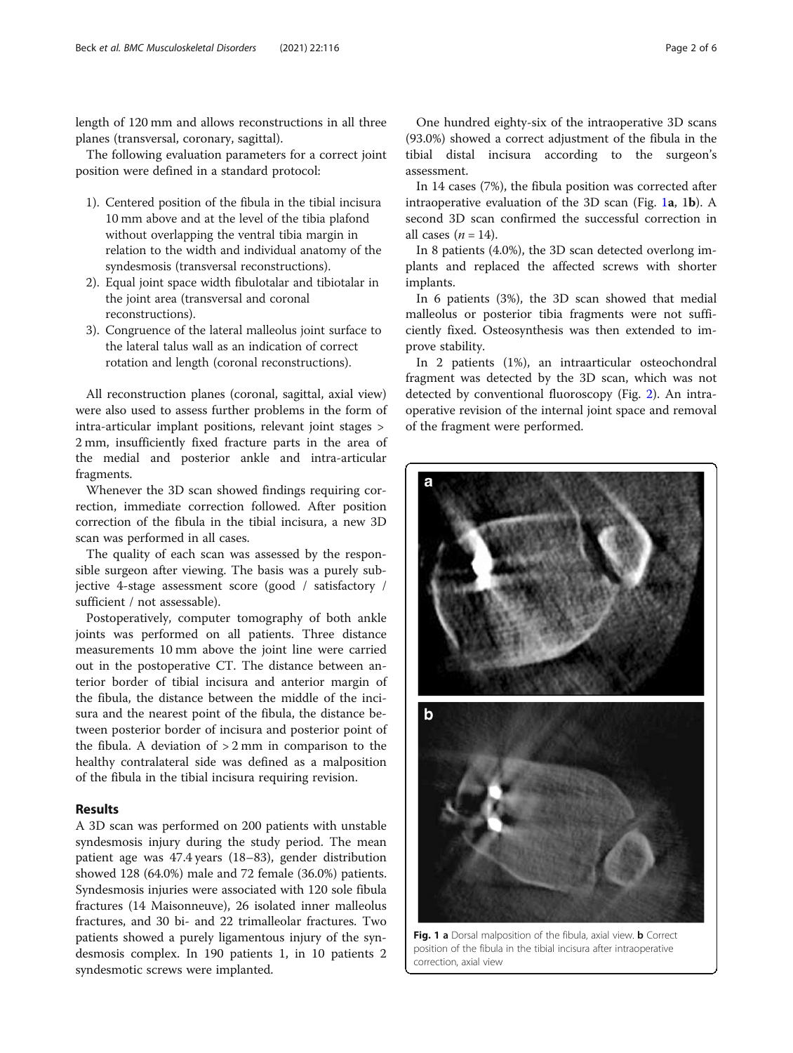length of 120 mm and allows reconstructions in all three planes (transversal, coronary, sagittal).

The following evaluation parameters for a correct joint position were defined in a standard protocol:

- 1). Centered position of the fibula in the tibial incisura 10 mm above and at the level of the tibia plafond without overlapping the ventral tibia margin in relation to the width and individual anatomy of the syndesmosis (transversal reconstructions).
- 2). Equal joint space width fibulotalar and tibiotalar in the joint area (transversal and coronal reconstructions).
- 3). Congruence of the lateral malleolus joint surface to the lateral talus wall as an indication of correct rotation and length (coronal reconstructions).

All reconstruction planes (coronal, sagittal, axial view) were also used to assess further problems in the form of intra-articular implant positions, relevant joint stages > 2 mm, insufficiently fixed fracture parts in the area of the medial and posterior ankle and intra-articular fragments.

Whenever the 3D scan showed findings requiring correction, immediate correction followed. After position correction of the fibula in the tibial incisura, a new 3D scan was performed in all cases.

The quality of each scan was assessed by the responsible surgeon after viewing. The basis was a purely subjective 4-stage assessment score (good / satisfactory / sufficient / not assessable).

Postoperatively, computer tomography of both ankle joints was performed on all patients. Three distance measurements 10 mm above the joint line were carried out in the postoperative CT. The distance between anterior border of tibial incisura and anterior margin of the fibula, the distance between the middle of the incisura and the nearest point of the fibula, the distance between posterior border of incisura and posterior point of the fibula. A deviation of  $> 2$  mm in comparison to the healthy contralateral side was defined as a malposition of the fibula in the tibial incisura requiring revision.

# Results

A 3D scan was performed on 200 patients with unstable syndesmosis injury during the study period. The mean patient age was 47.4 years (18–83), gender distribution showed 128 (64.0%) male and 72 female (36.0%) patients. Syndesmosis injuries were associated with 120 sole fibula fractures (14 Maisonneuve), 26 isolated inner malleolus fractures, and 30 bi- and 22 trimalleolar fractures. Two patients showed a purely ligamentous injury of the syndesmosis complex. In 190 patients 1, in 10 patients 2 syndesmotic screws were implanted.

One hundred eighty-six of the intraoperative 3D scans (93.0%) showed a correct adjustment of the fibula in the tibial distal incisura according to the surgeon's assessment.

In 14 cases (7%), the fibula position was corrected after intraoperative evaluation of the 3D scan (Fig. 1a, 1b). A second 3D scan confirmed the successful correction in all cases  $(n = 14)$ .

In 8 patients (4.0%), the 3D scan detected overlong implants and replaced the affected screws with shorter implants.

In 6 patients (3%), the 3D scan showed that medial malleolus or posterior tibia fragments were not sufficiently fixed. Osteosynthesis was then extended to improve stability.

In 2 patients (1%), an intraarticular osteochondral fragment was detected by the 3D scan, which was not detected by conventional fluoroscopy (Fig. [2](#page-2-0)). An intraoperative revision of the internal joint space and removal of the fragment were performed.



Fig. 1 a Dorsal malposition of the fibula, axial view. **b** Correct position of the fibula in the tibial incisura after intraoperative correction, axial view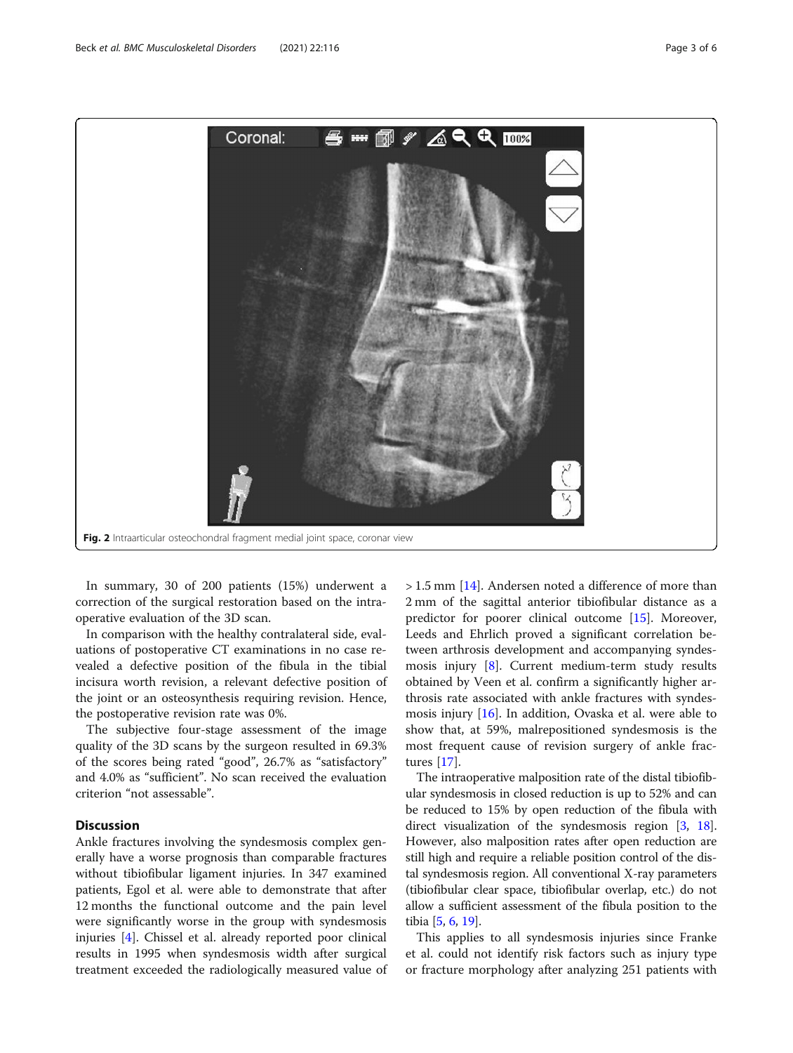<span id="page-2-0"></span>

In summary, 30 of 200 patients (15%) underwent a correction of the surgical restoration based on the intraoperative evaluation of the 3D scan.

In comparison with the healthy contralateral side, evaluations of postoperative CT examinations in no case revealed a defective position of the fibula in the tibial incisura worth revision, a relevant defective position of the joint or an osteosynthesis requiring revision. Hence, the postoperative revision rate was 0%.

The subjective four-stage assessment of the image quality of the 3D scans by the surgeon resulted in 69.3% of the scores being rated "good", 26.7% as "satisfactory" and 4.0% as "sufficient". No scan received the evaluation criterion "not assessable".

# **Discussion**

Ankle fractures involving the syndesmosis complex generally have a worse prognosis than comparable fractures without tibiofibular ligament injuries. In 347 examined patients, Egol et al. were able to demonstrate that after 12 months the functional outcome and the pain level were significantly worse in the group with syndesmosis injuries [\[4](#page-4-0)]. Chissel et al. already reported poor clinical results in 1995 when syndesmosis width after surgical treatment exceeded the radiologically measured value of

> 1.5 mm [\[14](#page-4-0)]. Andersen noted a difference of more than 2 mm of the sagittal anterior tibiofibular distance as a predictor for poorer clinical outcome [[15\]](#page-4-0). Moreover, Leeds and Ehrlich proved a significant correlation between arthrosis development and accompanying syndesmosis injury [[8\]](#page-4-0). Current medium-term study results obtained by Veen et al. confirm a significantly higher arthrosis rate associated with ankle fractures with syndesmosis injury [[16\]](#page-5-0). In addition, Ovaska et al. were able to show that, at 59%, malrepositioned syndesmosis is the most frequent cause of revision surgery of ankle fractures [\[17](#page-5-0)].

The intraoperative malposition rate of the distal tibiofibular syndesmosis in closed reduction is up to 52% and can be reduced to 15% by open reduction of the fibula with direct visualization of the syndesmosis region [[3,](#page-4-0) [18](#page-5-0)]. However, also malposition rates after open reduction are still high and require a reliable position control of the distal syndesmosis region. All conventional X-ray parameters (tibiofibular clear space, tibiofibular overlap, etc.) do not allow a sufficient assessment of the fibula position to the tibia [[5,](#page-4-0) [6](#page-4-0), [19](#page-5-0)].

This applies to all syndesmosis injuries since Franke et al. could not identify risk factors such as injury type or fracture morphology after analyzing 251 patients with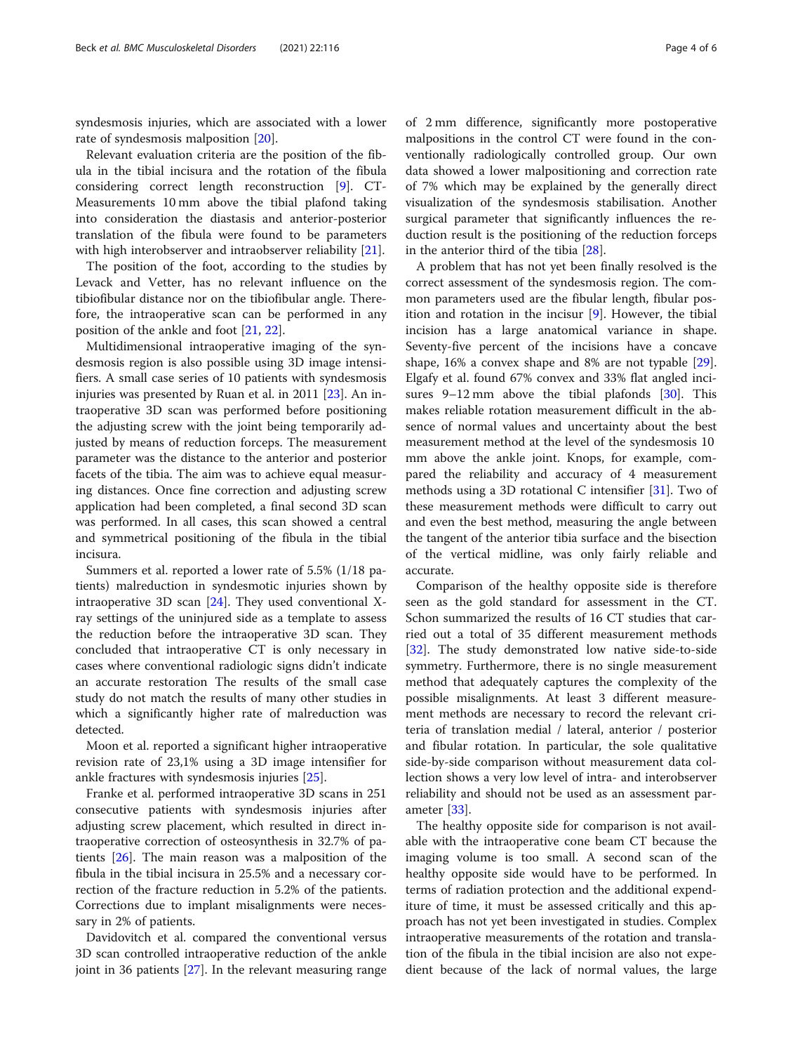syndesmosis injuries, which are associated with a lower rate of syndesmosis malposition [[20\]](#page-5-0).

Relevant evaluation criteria are the position of the fibula in the tibial incisura and the rotation of the fibula considering correct length reconstruction [\[9\]](#page-4-0). CT-Measurements 10 mm above the tibial plafond taking into consideration the diastasis and anterior-posterior translation of the fibula were found to be parameters with high interobserver and intraobserver reliability [\[21\]](#page-5-0).

The position of the foot, according to the studies by Levack and Vetter, has no relevant influence on the tibiofibular distance nor on the tibiofibular angle. Therefore, the intraoperative scan can be performed in any position of the ankle and foot [\[21](#page-5-0), [22\]](#page-5-0).

Multidimensional intraoperative imaging of the syndesmosis region is also possible using 3D image intensifiers. A small case series of 10 patients with syndesmosis injuries was presented by Ruan et al. in 2011 [[23\]](#page-5-0). An intraoperative 3D scan was performed before positioning the adjusting screw with the joint being temporarily adjusted by means of reduction forceps. The measurement parameter was the distance to the anterior and posterior facets of the tibia. The aim was to achieve equal measuring distances. Once fine correction and adjusting screw application had been completed, a final second 3D scan was performed. In all cases, this scan showed a central and symmetrical positioning of the fibula in the tibial incisura.

Summers et al. reported a lower rate of 5.5% (1/18 patients) malreduction in syndesmotic injuries shown by intraoperative 3D scan [[24\]](#page-5-0). They used conventional Xray settings of the uninjured side as a template to assess the reduction before the intraoperative 3D scan. They concluded that intraoperative CT is only necessary in cases where conventional radiologic signs didn't indicate an accurate restoration The results of the small case study do not match the results of many other studies in which a significantly higher rate of malreduction was detected.

Moon et al. reported a significant higher intraoperative revision rate of 23,1% using a 3D image intensifier for ankle fractures with syndesmosis injuries [\[25](#page-5-0)].

Franke et al. performed intraoperative 3D scans in 251 consecutive patients with syndesmosis injuries after adjusting screw placement, which resulted in direct intraoperative correction of osteosynthesis in 32.7% of patients [[26\]](#page-5-0). The main reason was a malposition of the fibula in the tibial incisura in 25.5% and a necessary correction of the fracture reduction in 5.2% of the patients. Corrections due to implant misalignments were necessary in 2% of patients.

Davidovitch et al. compared the conventional versus 3D scan controlled intraoperative reduction of the ankle joint in 36 patients [[27\]](#page-5-0). In the relevant measuring range

of 2 mm difference, significantly more postoperative malpositions in the control CT were found in the conventionally radiologically controlled group. Our own data showed a lower malpositioning and correction rate of 7% which may be explained by the generally direct visualization of the syndesmosis stabilisation. Another surgical parameter that significantly influences the reduction result is the positioning of the reduction forceps in the anterior third of the tibia [\[28](#page-5-0)].

A problem that has not yet been finally resolved is the correct assessment of the syndesmosis region. The common parameters used are the fibular length, fibular position and rotation in the incisur [\[9](#page-4-0)]. However, the tibial incision has a large anatomical variance in shape. Seventy-five percent of the incisions have a concave shape, 16% a convex shape and 8% are not typable [\[29](#page-5-0)]. Elgafy et al. found 67% convex and 33% flat angled incisures  $9-12$  mm above the tibial plafonds [[30](#page-5-0)]. This makes reliable rotation measurement difficult in the absence of normal values and uncertainty about the best measurement method at the level of the syndesmosis 10 mm above the ankle joint. Knops, for example, compared the reliability and accuracy of 4 measurement methods using a 3D rotational C intensifier [[31](#page-5-0)]. Two of these measurement methods were difficult to carry out and even the best method, measuring the angle between the tangent of the anterior tibia surface and the bisection of the vertical midline, was only fairly reliable and accurate.

Comparison of the healthy opposite side is therefore seen as the gold standard for assessment in the CT. Schon summarized the results of 16 CT studies that carried out a total of 35 different measurement methods [[32\]](#page-5-0). The study demonstrated low native side-to-side symmetry. Furthermore, there is no single measurement method that adequately captures the complexity of the possible misalignments. At least 3 different measurement methods are necessary to record the relevant criteria of translation medial / lateral, anterior / posterior and fibular rotation. In particular, the sole qualitative side-by-side comparison without measurement data collection shows a very low level of intra- and interobserver reliability and should not be used as an assessment parameter [\[33\]](#page-5-0).

The healthy opposite side for comparison is not available with the intraoperative cone beam CT because the imaging volume is too small. A second scan of the healthy opposite side would have to be performed. In terms of radiation protection and the additional expenditure of time, it must be assessed critically and this approach has not yet been investigated in studies. Complex intraoperative measurements of the rotation and translation of the fibula in the tibial incision are also not expedient because of the lack of normal values, the large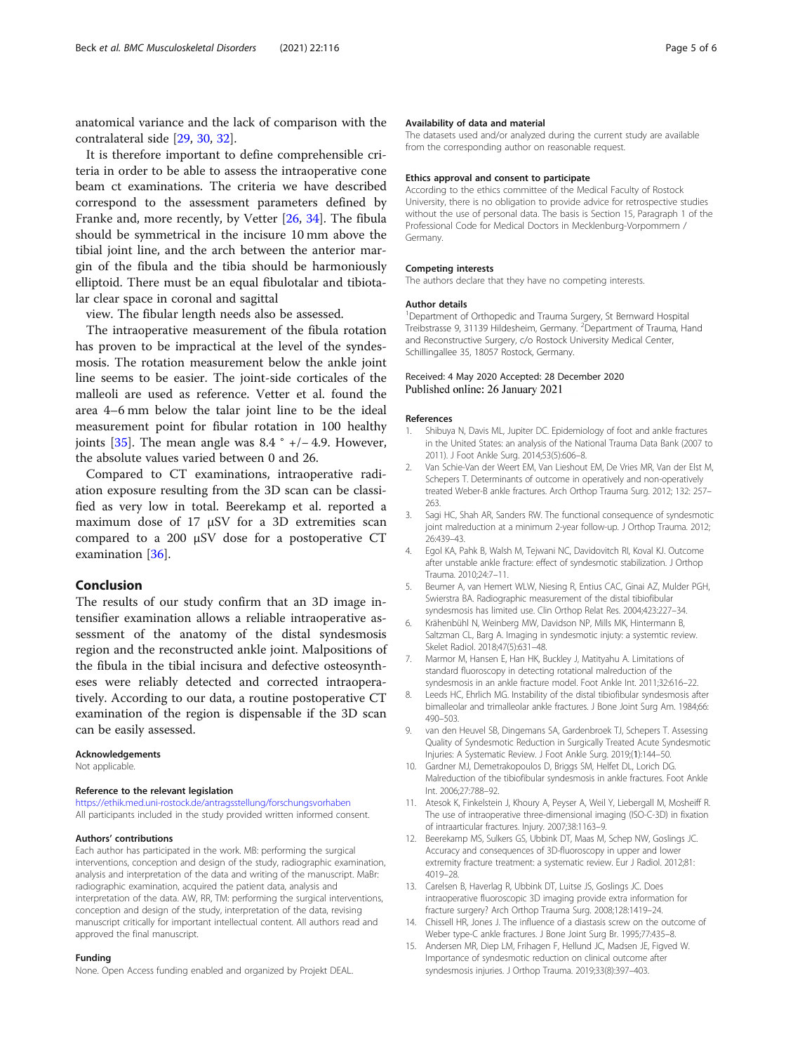<span id="page-4-0"></span>anatomical variance and the lack of comparison with the contralateral side [\[29,](#page-5-0) [30,](#page-5-0) [32\]](#page-5-0).

It is therefore important to define comprehensible criteria in order to be able to assess the intraoperative cone beam ct examinations. The criteria we have described correspond to the assessment parameters defined by Franke and, more recently, by Vetter [[26,](#page-5-0) [34\]](#page-5-0). The fibula should be symmetrical in the incisure 10 mm above the tibial joint line, and the arch between the anterior margin of the fibula and the tibia should be harmoniously elliptoid. There must be an equal fibulotalar and tibiotalar clear space in coronal and sagittal

view. The fibular length needs also be assessed.

The intraoperative measurement of the fibula rotation has proven to be impractical at the level of the syndesmosis. The rotation measurement below the ankle joint line seems to be easier. The joint-side corticales of the malleoli are used as reference. Vetter et al. found the area 4–6 mm below the talar joint line to be the ideal measurement point for fibular rotation in 100 healthy joints [\[35\]](#page-5-0). The mean angle was  $8.4 \degree +/- 4.9$ . However, the absolute values varied between 0 and 26.

Compared to CT examinations, intraoperative radiation exposure resulting from the 3D scan can be classified as very low in total. Beerekamp et al. reported a maximum dose of 17 μSV for a 3D extremities scan compared to a 200 μSV dose for a postoperative CT examination [\[36](#page-5-0)].

#### Conclusion

The results of our study confirm that an 3D image intensifier examination allows a reliable intraoperative assessment of the anatomy of the distal syndesmosis region and the reconstructed ankle joint. Malpositions of the fibula in the tibial incisura and defective osteosyntheses were reliably detected and corrected intraoperatively. According to our data, a routine postoperative CT examination of the region is dispensable if the 3D scan can be easily assessed.

## Acknowledgements

Not applicable.

#### Reference to the relevant legislation

<https://ethik.med.uni-rostock.de/antragsstellung/forschungsvorhaben> All participants included in the study provided written informed consent.

#### Authors' contributions

Each author has participated in the work. MB: performing the surgical interventions, conception and design of the study, radiographic examination, analysis and interpretation of the data and writing of the manuscript. MaBr: radiographic examination, acquired the patient data, analysis and interpretation of the data. AW, RR, TM: performing the surgical interventions, conception and design of the study, interpretation of the data, revising manuscript critically for important intellectual content. All authors read and approved the final manuscript.

#### Funding

None. Open Access funding enabled and organized by Projekt DEAL.

#### Availability of data and material

The datasets used and/or analyzed during the current study are available from the corresponding author on reasonable request.

#### Ethics approval and consent to participate

According to the ethics committee of the Medical Faculty of Rostock University, there is no obligation to provide advice for retrospective studies without the use of personal data. The basis is Section 15, Paragraph 1 of the Professional Code for Medical Doctors in Mecklenburg-Vorpommern / Germany.

#### Competing interests

The authors declare that they have no competing interests.

#### Author details

<sup>1</sup>Department of Orthopedic and Trauma Surgery, St Bernward Hospital Treibstrasse 9, 31139 Hildesheim, Germany. <sup>2</sup> Department of Trauma, Hand and Reconstructive Surgery, c/o Rostock University Medical Center, Schillingallee 35, 18057 Rostock, Germany.

### Received: 4 May 2020 Accepted: 28 December 2020 Published online: 26 January 2021

#### References

- 1. Shibuya N, Davis ML, Jupiter DC. Epidemiology of foot and ankle fractures in the United States: an analysis of the National Trauma Data Bank (2007 to 2011). J Foot Ankle Surg. 2014;53(5):606–8.
- Van Schie-Van der Weert EM, Van Lieshout EM, De Vries MR, Van der Elst M, Schepers T. Determinants of outcome in operatively and non-operatively treated Weber-B ankle fractures. Arch Orthop Trauma Surg. 2012; 132: 257– 263.
- 3. Sagi HC, Shah AR, Sanders RW. The functional consequence of syndesmotic joint malreduction at a minimum 2-year follow-up. J Orthop Trauma. 2012; 26:439–43.
- 4. Egol KA, Pahk B, Walsh M, Tejwani NC, Davidovitch RI, Koval KJ. Outcome after unstable ankle fracture: effect of syndesmotic stabilization. J Orthop Trauma. 2010;24:7–11.
- 5. Beumer A, van Hemert WLW, Niesing R, Entius CAC, Ginai AZ, Mulder PGH, Swierstra BA. Radiographic measurement of the distal tibiofibular syndesmosis has limited use. Clin Orthop Relat Res. 2004;423:227–34.
- 6. Krähenbühl N, Weinberg MW, Davidson NP, Mills MK, Hintermann B, Saltzman CL, Barg A. Imaging in syndesmotic injuty: a systemtic review. Skelet Radiol. 2018;47(5):631–48.
- 7. Marmor M, Hansen E, Han HK, Buckley J, Matityahu A. Limitations of standard fluoroscopy in detecting rotational malreduction of the syndesmosis in an ankle fracture model. Foot Ankle Int. 2011;32:616–22.
- 8. Leeds HC, Ehrlich MG. Instability of the distal tibiofibular syndesmosis after bimalleolar and trimalleolar ankle fractures. J Bone Joint Surg Am. 1984;66: 490–503.
- 9. van den Heuvel SB, Dingemans SA, Gardenbroek TJ, Schepers T. Assessing Quality of Syndesmotic Reduction in Surgically Treated Acute Syndesmotic Injuries: A Systematic Review. J Foot Ankle Surg. 2019;(1):144–50.
- 10. Gardner MJ, Demetrakopoulos D, Briggs SM, Helfet DL, Lorich DG. Malreduction of the tibiofibular syndesmosis in ankle fractures. Foot Ankle Int. 2006;27:788–92.
- 11. Atesok K, Finkelstein J, Khoury A, Peyser A, Weil Y, Liebergall M, Mosheiff R. The use of intraoperative three-dimensional imaging (ISO-C-3D) in fixation of intraarticular fractures. Injury. 2007;38:1163–9.
- 12. Beerekamp MS, Sulkers GS, Ubbink DT, Maas M, Schep NW, Goslings JC. Accuracy and consequences of 3D-fluoroscopy in upper and lower extremity fracture treatment: a systematic review. Eur J Radiol. 2012;81: 4019–28.
- 13. Carelsen B, Haverlag R, Ubbink DT, Luitse JS, Goslings JC. Does intraoperative fluoroscopic 3D imaging provide extra information for fracture surgery? Arch Orthop Trauma Surg. 2008;128:1419–24.
- 14. Chissell HR, Jones J. The influence of a diastasis screw on the outcome of Weber type-C ankle fractures. J Bone Joint Surg Br. 1995;77:435–8.
- 15. Andersen MR, Diep LM, Frihagen F, Hellund JC, Madsen JE, Figved W. Importance of syndesmotic reduction on clinical outcome after syndesmosis injuries. J Orthop Trauma. 2019;33(8):397–403.